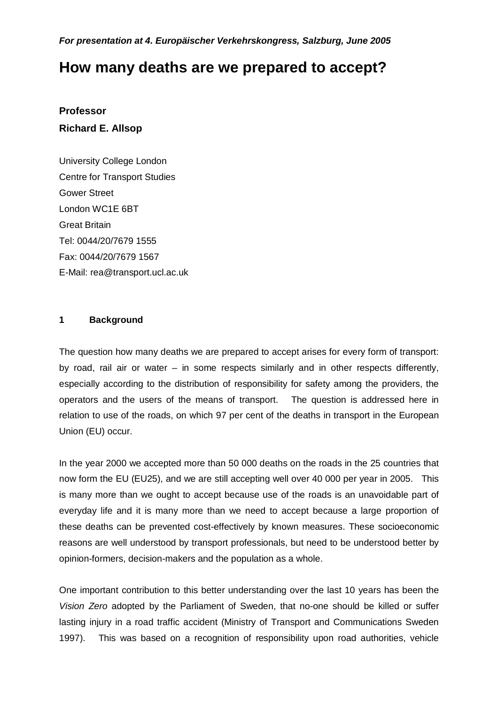**For presentation at 4. Europäischer Verkehrskongress, Salzburg, June 2005** 

# **How many deaths are we prepared to accept?**

## **Professor Richard E. Allsop**

University College London Centre for Transport Studies Gower Street London WC1E 6BT Great Britain Tel: 0044/20/7679 1555 Fax: 0044/20/7679 1567 E-Mail: rea@transport.ucl.ac.uk

#### **1 Background**

The question how many deaths we are prepared to accept arises for every form of transport: by road, rail air or water – in some respects similarly and in other respects differently, especially according to the distribution of responsibility for safety among the providers, the operators and the users of the means of transport. The question is addressed here in relation to use of the roads, on which 97 per cent of the deaths in transport in the European Union (EU) occur.

In the year 2000 we accepted more than 50 000 deaths on the roads in the 25 countries that now form the EU (EU25), and we are still accepting well over 40 000 per year in 2005. This is many more than we ought to accept because use of the roads is an unavoidable part of everyday life and it is many more than we need to accept because a large proportion of these deaths can be prevented cost-effectively by known measures. These socioeconomic reasons are well understood by transport professionals, but need to be understood better by opinion-formers, decision-makers and the population as a whole.

One important contribution to this better understanding over the last 10 years has been the Vision Zero adopted by the Parliament of Sweden, that no-one should be killed or suffer lasting injury in a road traffic accident (Ministry of Transport and Communications Sweden 1997). This was based on a recognition of responsibility upon road authorities, vehicle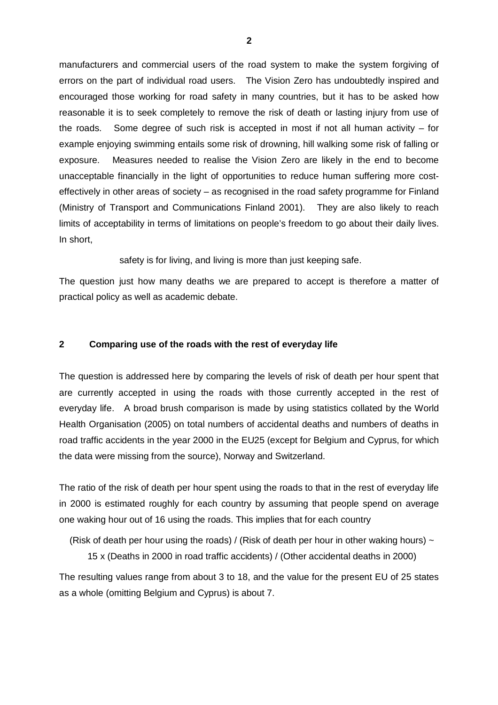manufacturers and commercial users of the road system to make the system forgiving of errors on the part of individual road users. The Vision Zero has undoubtedly inspired and encouraged those working for road safety in many countries, but it has to be asked how reasonable it is to seek completely to remove the risk of death or lasting injury from use of the roads. Some degree of such risk is accepted in most if not all human activity – for example enjoying swimming entails some risk of drowning, hill walking some risk of falling or exposure. Measures needed to realise the Vision Zero are likely in the end to become unacceptable financially in the light of opportunities to reduce human suffering more costeffectively in other areas of society – as recognised in the road safety programme for Finland (Ministry of Transport and Communications Finland 2001). They are also likely to reach limits of acceptability in terms of limitations on people's freedom to go about their daily lives. In short,

safety is for living, and living is more than just keeping safe.

The question just how many deaths we are prepared to accept is therefore a matter of practical policy as well as academic debate.

### **2 Comparing use of the roads with the rest of everyday life**

The question is addressed here by comparing the levels of risk of death per hour spent that are currently accepted in using the roads with those currently accepted in the rest of everyday life. A broad brush comparison is made by using statistics collated by the World Health Organisation (2005) on total numbers of accidental deaths and numbers of deaths in road traffic accidents in the year 2000 in the EU25 (except for Belgium and Cyprus, for which the data were missing from the source), Norway and Switzerland.

The ratio of the risk of death per hour spent using the roads to that in the rest of everyday life in 2000 is estimated roughly for each country by assuming that people spend on average one waking hour out of 16 using the roads. This implies that for each country

(Risk of death per hour using the roads) / (Risk of death per hour in other waking hours)  $\sim$ 

15 x (Deaths in 2000 in road traffic accidents) / (Other accidental deaths in 2000)

The resulting values range from about 3 to 18, and the value for the present EU of 25 states as a whole (omitting Belgium and Cyprus) is about 7.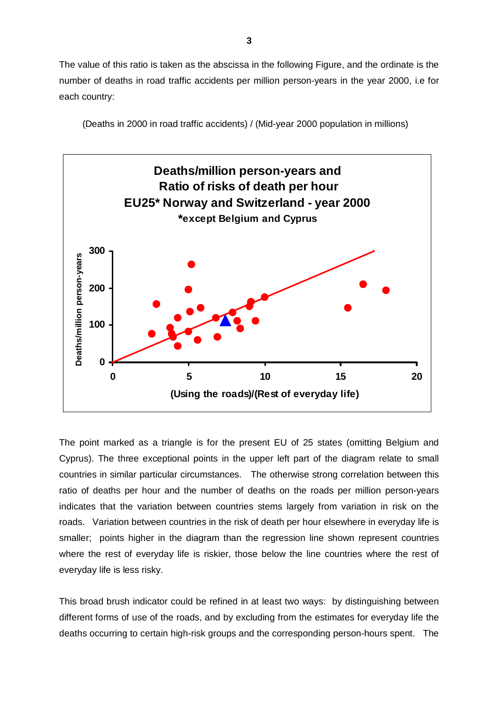The value of this ratio is taken as the abscissa in the following Figure, and the ordinate is the number of deaths in road traffic accidents per million person-years in the year 2000, i.e for each country:

(Deaths in 2000 in road traffic accidents) / (Mid-year 2000 population in millions)



The point marked as a triangle is for the present EU of 25 states (omitting Belgium and Cyprus). The three exceptional points in the upper left part of the diagram relate to small countries in similar particular circumstances. The otherwise strong correlation between this ratio of deaths per hour and the number of deaths on the roads per million person-years indicates that the variation between countries stems largely from variation in risk on the roads. Variation between countries in the risk of death per hour elsewhere in everyday life is smaller; points higher in the diagram than the regression line shown represent countries where the rest of everyday life is riskier, those below the line countries where the rest of everyday life is less risky.

This broad brush indicator could be refined in at least two ways: by distinguishing between different forms of use of the roads, and by excluding from the estimates for everyday life the deaths occurring to certain high-risk groups and the corresponding person-hours spent. The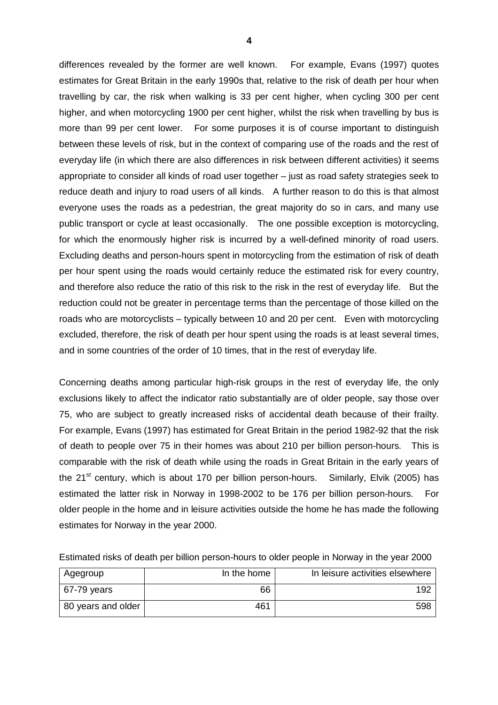differences revealed by the former are well known. For example, Evans (1997) quotes estimates for Great Britain in the early 1990s that, relative to the risk of death per hour when travelling by car, the risk when walking is 33 per cent higher, when cycling 300 per cent higher, and when motorcycling 1900 per cent higher, whilst the risk when travelling by bus is more than 99 per cent lower. For some purposes it is of course important to distinguish between these levels of risk, but in the context of comparing use of the roads and the rest of everyday life (in which there are also differences in risk between different activities) it seems appropriate to consider all kinds of road user together – just as road safety strategies seek to reduce death and injury to road users of all kinds. A further reason to do this is that almost everyone uses the roads as a pedestrian, the great majority do so in cars, and many use public transport or cycle at least occasionally. The one possible exception is motorcycling, for which the enormously higher risk is incurred by a well-defined minority of road users. Excluding deaths and person-hours spent in motorcycling from the estimation of risk of death per hour spent using the roads would certainly reduce the estimated risk for every country, and therefore also reduce the ratio of this risk to the risk in the rest of everyday life. But the reduction could not be greater in percentage terms than the percentage of those killed on the roads who are motorcyclists – typically between 10 and 20 per cent. Even with motorcycling excluded, therefore, the risk of death per hour spent using the roads is at least several times, and in some countries of the order of 10 times, that in the rest of everyday life.

Concerning deaths among particular high-risk groups in the rest of everyday life, the only exclusions likely to affect the indicator ratio substantially are of older people, say those over 75, who are subject to greatly increased risks of accidental death because of their frailty. For example, Evans (1997) has estimated for Great Britain in the period 1982-92 that the risk of death to people over 75 in their homes was about 210 per billion person-hours. This is comparable with the risk of death while using the roads in Great Britain in the early years of the 21<sup>st</sup> century, which is about 170 per billion person-hours. Similarly, Elvik (2005) has estimated the latter risk in Norway in 1998-2002 to be 176 per billion person-hours. For older people in the home and in leisure activities outside the home he has made the following estimates for Norway in the year 2000.

| Agegroup           | In the home | In leisure activities elsewhere |
|--------------------|-------------|---------------------------------|
| 67-79 years        | 66          | 192                             |
| 80 years and older | 461         | 598                             |

Estimated risks of death per billion person-hours to older people in Norway in the year 2000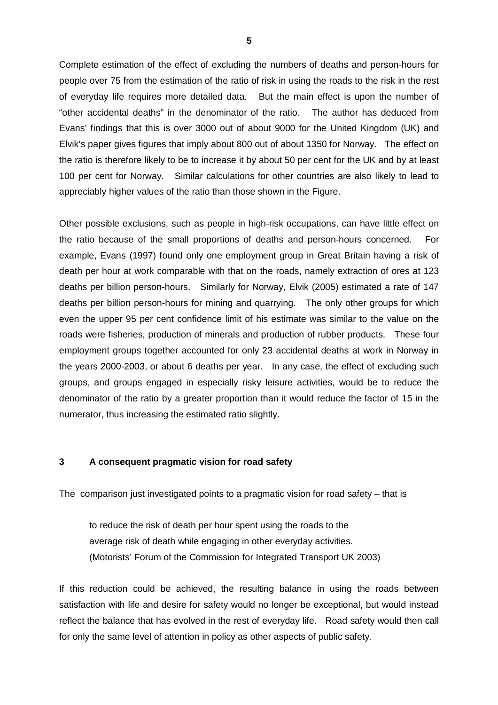Complete estimation of the effect of excluding the numbers of deaths and person-hours for people over 75 from the estimation of the ratio of risk in using the roads to the risk in the rest of everyday life requires more detailed data. But the main effect is upon the number of "other accidental deaths" in the denominator of the ratio. The author has deduced from Evans' findings that this is over 3000 out of about 9000 for the United Kingdom (UK) and Elvik's paper gives figures that imply about 800 out of about 1350 for Norway. The effect on the ratio is therefore likely to be to increase it by about 50 per cent for the UK and by at least 100 per cent for Norway. Similar calculations for other countries are also likely to lead to appreciably higher values of the ratio than those shown in the Figure.

Other possible exclusions, such as people in high-risk occupations, can have little effect on the ratio because of the small proportions of deaths and person-hours concerned. For example, Evans (1997) found only one employment group in Great Britain having a risk of death per hour at work comparable with that on the roads, namely extraction of ores at 123 deaths per billion person-hours. Similarly for Norway, Elvik (2005) estimated a rate of 147 deaths per billion person-hours for mining and quarrying. The only other groups for which even the upper 95 per cent confidence limit of his estimate was similar to the value on the roads were fisheries, production of minerals and production of rubber products. These four employment groups together accounted for only 23 accidental deaths at work in Norway in the years 2000-2003, or about 6 deaths per year. In any case, the effect of excluding such groups, and groups engaged in especially risky leisure activities, would be to reduce the denominator of the ratio by a greater proportion than it would reduce the factor of 15 in the numerator, thus increasing the estimated ratio slightly.

#### **3 A consequent pragmatic vision for road safety**

The comparison just investigated points to a pragmatic vision for road safety  $-$  that is

to reduce the risk of death per hour spent using the roads to the average risk of death while engaging in other everyday activities. (Motorists' Forum of the Commission for Integrated Transport UK 2003)

If this reduction could be achieved, the resulting balance in using the roads between satisfaction with life and desire for safety would no longer be exceptional, but would instead reflect the balance that has evolved in the rest of everyday life. Road safety would then call for only the same level of attention in policy as other aspects of public safety.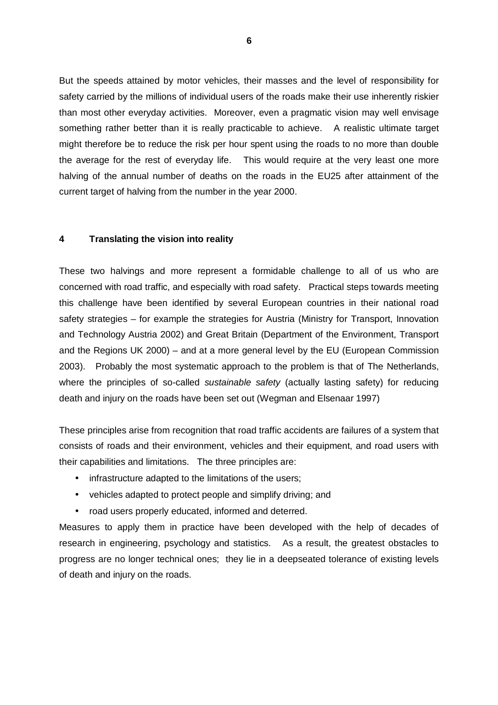But the speeds attained by motor vehicles, their masses and the level of responsibility for safety carried by the millions of individual users of the roads make their use inherently riskier than most other everyday activities. Moreover, even a pragmatic vision may well envisage something rather better than it is really practicable to achieve. A realistic ultimate target might therefore be to reduce the risk per hour spent using the roads to no more than double the average for the rest of everyday life. This would require at the very least one more halving of the annual number of deaths on the roads in the EU25 after attainment of the current target of halving from the number in the year 2000.

#### **4 Translating the vision into reality**

These two halvings and more represent a formidable challenge to all of us who are concerned with road traffic, and especially with road safety. Practical steps towards meeting this challenge have been identified by several European countries in their national road safety strategies – for example the strategies for Austria (Ministry for Transport, Innovation and Technology Austria 2002) and Great Britain (Department of the Environment, Transport and the Regions UK 2000) – and at a more general level by the EU (European Commission 2003). Probably the most systematic approach to the problem is that of The Netherlands, where the principles of so-called *sustainable safety* (actually lasting safety) for reducing death and injury on the roads have been set out (Wegman and Elsenaar 1997)

These principles arise from recognition that road traffic accidents are failures of a system that consists of roads and their environment, vehicles and their equipment, and road users with their capabilities and limitations. The three principles are:

- infrastructure adapted to the limitations of the users;
- vehicles adapted to protect people and simplify driving; and
- road users properly educated, informed and deterred.

Measures to apply them in practice have been developed with the help of decades of research in engineering, psychology and statistics. As a result, the greatest obstacles to progress are no longer technical ones; they lie in a deepseated tolerance of existing levels of death and injury on the roads.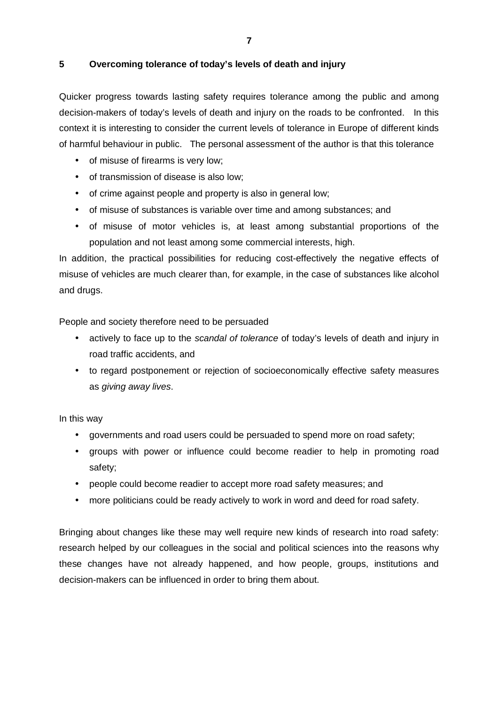## **5 Overcoming tolerance of today's levels of death and injury**

Quicker progress towards lasting safety requires tolerance among the public and among decision-makers of today's levels of death and injury on the roads to be confronted. In this context it is interesting to consider the current levels of tolerance in Europe of different kinds of harmful behaviour in public. The personal assessment of the author is that this tolerance

- of misuse of firearms is very low;
- of transmission of disease is also low;
- of crime against people and property is also in general low;
- of misuse of substances is variable over time and among substances; and
- of misuse of motor vehicles is, at least among substantial proportions of the population and not least among some commercial interests, high.

In addition, the practical possibilities for reducing cost-effectively the negative effects of misuse of vehicles are much clearer than, for example, in the case of substances like alcohol and drugs.

People and society therefore need to be persuaded

- actively to face up to the scandal of tolerance of today's levels of death and injury in road traffic accidents, and
- to regard postponement or rejection of socioeconomically effective safety measures as giving away lives.

In this way

- governments and road users could be persuaded to spend more on road safety;
- groups with power or influence could become readier to help in promoting road safety;
- people could become readier to accept more road safety measures; and
- more politicians could be ready actively to work in word and deed for road safety.

Bringing about changes like these may well require new kinds of research into road safety: research helped by our colleagues in the social and political sciences into the reasons why these changes have not already happened, and how people, groups, institutions and decision-makers can be influenced in order to bring them about.